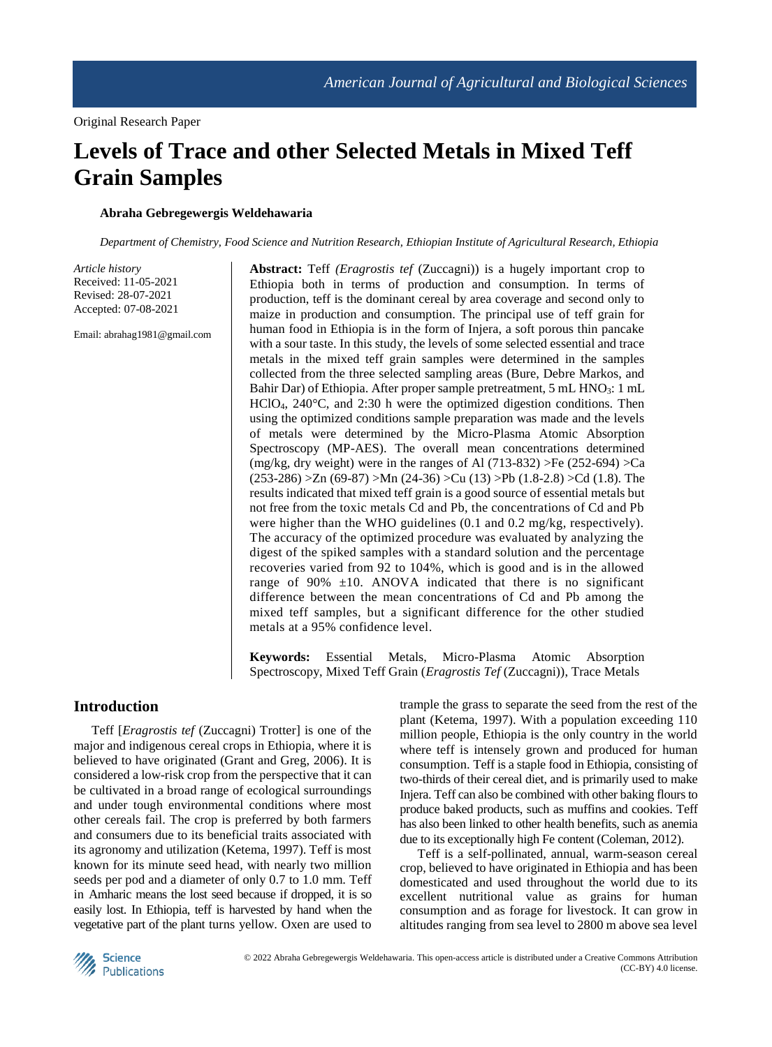# **Levels of Trace and other Selected Metals in Mixed Teff Grain Samples**

# **Abraha Gebregewergis Weldehawaria**

*Department of Chemistry, Food Science and Nutrition Research, Ethiopian Institute of Agricultural Research, Ethiopia*

*Article history* Received: 11-05-2021 Revised: 28-07-2021 Accepted: 07-08-2021

Email: abrahag1981@gmail.com

**Abstract:** Teff *(Eragrostis tef* (Zuccagni)) is a hugely important crop to Ethiopia both in terms of production and consumption. In terms of production, teff is the dominant cereal by area coverage and second only to maize in production and consumption. The principal use of teff grain for human food in Ethiopia is in the form of Injera, a soft porous thin pancake with a sour taste. In this study, the levels of some selected essential and trace metals in the mixed teff grain samples were determined in the samples collected from the three selected sampling areas (Bure, Debre Markos, and Bahir Dar) of Ethiopia. After proper sample pretreatment, 5 mL HNO3: 1 mL HClO4, 240°C, and 2:30 h were the optimized digestion conditions. Then using the optimized conditions sample preparation was made and the levels of metals were determined by the Micro-Plasma Atomic Absorption Spectroscopy (MP-AES). The overall mean concentrations determined (mg/kg, dry weight) were in the ranges of Al (713-832) >Fe (252-694) >Ca  $(253-286) > Zn (69-87) > Mn (24-36) > Cu (13) > Pb (1.8-2.8) > Cd (1.8)$ . The results indicated that mixed teff grain is a good source of essential metals but not free from the toxic metals Cd and Pb, the concentrations of Cd and Pb were higher than the WHO guidelines (0.1 and 0.2 mg/kg, respectively). The accuracy of the optimized procedure was evaluated by analyzing the digest of the spiked samples with a standard solution and the percentage recoveries varied from 92 to 104%, which is good and is in the allowed range of  $90\%$   $\pm 10$ . ANOVA indicated that there is no significant difference between the mean concentrations of Cd and Pb among the mixed teff samples, but a significant difference for the other studied metals at a 95% confidence level.

**Keywords:** Essential Metals, Micro-Plasma Atomic Absorption Spectroscopy, Mixed Teff Grain (*Eragrostis Tef* (Zuccagni)), Trace Metals

# **Introduction**

Teff [*Eragrostis tef* (Zuccagni) Trotter] is one of the major and indigenous cereal crops in Ethiopia, where it is believed to have originated (Grant and Greg, 2006). It is considered a low-risk crop from the perspective that it can be cultivated in a broad range of ecological surroundings and under tough environmental conditions where most other cereals fail. The crop is preferred by both farmers and consumers due to its beneficial traits associated with its agronomy and utilization (Ketema, 1997). Teff is most known for its minute seed head, with nearly two million seeds per pod and a diameter of only 0.7 to 1.0 mm. Teff in Amharic means the lost seed because if dropped, it is so easily lost. In Ethiopia, teff is harvested by hand when the vegetative part of the plant turns yellow. Oxen are used to trample the grass to separate the seed from the rest of the plant (Ketema, 1997). With a population exceeding 110 million people, Ethiopia is the only country in the world where teff is intensely grown and produced for human consumption. Teff is a staple food in Ethiopia, consisting of two-thirds of their cereal diet, and is primarily used to make Injera. Teff can also be combined with other baking flours to produce baked products, such as muffins and cookies. Teff has also been linked to other health benefits, such as anemia due to its exceptionally high Fe content (Coleman, 2012).

Teff is a self-pollinated, annual, warm-season cereal crop, believed to have originated in Ethiopia and has been domesticated and used throughout the world due to its excellent nutritional value as grains for human consumption and as forage for livestock. It can grow in altitudes ranging from sea level to 2800 m above sea level

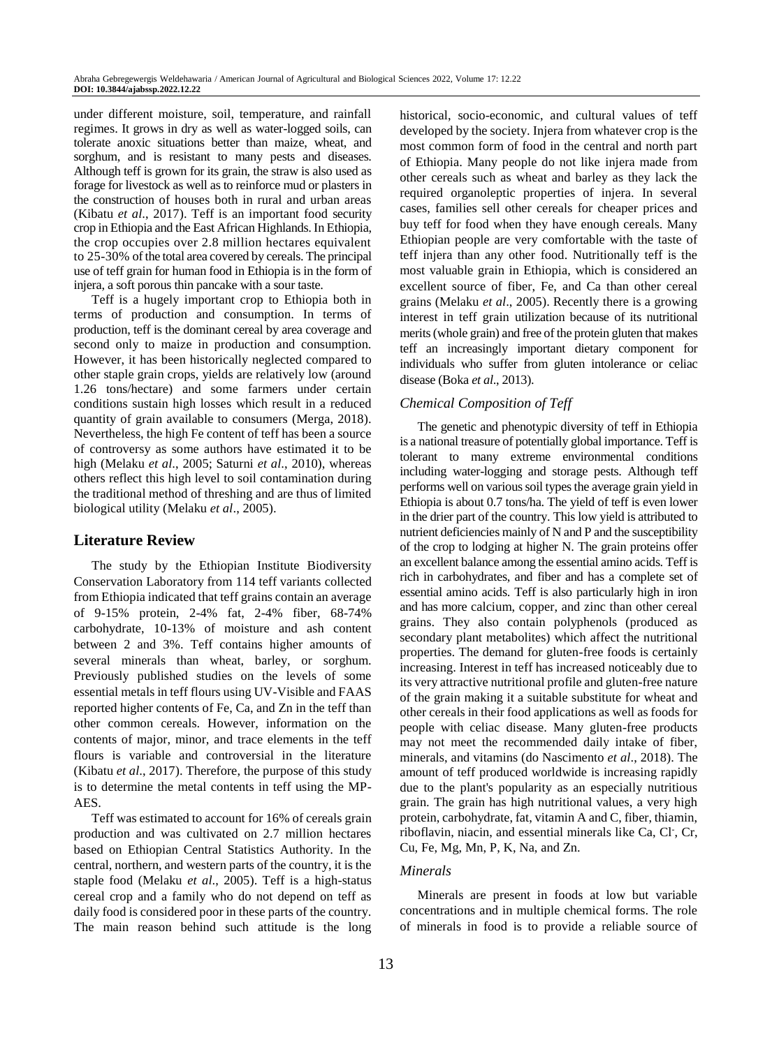under different moisture, soil, temperature, and rainfall regimes. It grows in dry as well as water-logged soils, can tolerate anoxic situations better than maize, wheat, and sorghum, and is resistant to many pests and diseases. Although teff is grown for its grain, the straw is also used as forage for livestock as well as to reinforce mud or plasters in the construction of houses both in rural and urban areas (Kibatu *et al*., 2017). Teff is an important food security crop in Ethiopia and the East African Highlands. In Ethiopia, the crop occupies over 2.8 million hectares equivalent to 25-30% of the total area covered by cereals. The principal use of teff grain for human food in Ethiopia is in the form of injera, a soft porous thin pancake with a sour taste.

Teff is a hugely important crop to Ethiopia both in terms of production and consumption. In terms of production, teff is the dominant cereal by area coverage and second only to maize in production and consumption. However, it has been historically neglected compared to other staple grain crops, yields are relatively low (around 1.26 tons/hectare) and some farmers under certain conditions sustain high losses which result in a reduced quantity of grain available to consumers (Merga, 2018). Nevertheless, the high Fe content of teff has been a source of controversy as some authors have estimated it to be high (Melaku *et al*., 2005; Saturni *et al*., 2010), whereas others reflect this high level to soil contamination during the traditional method of threshing and are thus of limited biological utility (Melaku *et al*., 2005).

# **Literature Review**

The study by the Ethiopian Institute Biodiversity Conservation Laboratory from 114 teff variants collected from Ethiopia indicated that teff grains contain an average of 9-15% protein, 2-4% fat, 2-4% fiber, 68-74% carbohydrate, 10-13% of moisture and ash content between 2 and 3%. Teff contains higher amounts of several minerals than wheat, barley, or sorghum. Previously published studies on the levels of some essential metals in teff flours using UV-Visible and FAAS reported higher contents of Fe, Ca, and Zn in the teff than other common cereals. However, information on the contents of major, minor, and trace elements in the teff flours is variable and controversial in the literature (Kibatu *et al*., 2017). Therefore, the purpose of this study is to determine the metal contents in teff using the MP-AES.

Teff was estimated to account for 16% of cereals grain production and was cultivated on 2.7 million hectares based on Ethiopian Central Statistics Authority. In the central, northern, and western parts of the country, it is the staple food (Melaku *et al*., 2005). Teff is a high-status cereal crop and a family who do not depend on teff as daily food is considered poor in these parts of the country. The main reason behind such attitude is the long historical, socio-economic, and cultural values of teff developed by the society. Injera from whatever crop is the most common form of food in the central and north part of Ethiopia. Many people do not like injera made from other cereals such as wheat and barley as they lack the required organoleptic properties of injera. In several cases, families sell other cereals for cheaper prices and buy teff for food when they have enough cereals. Many Ethiopian people are very comfortable with the taste of teff injera than any other food. Nutritionally teff is the most valuable grain in Ethiopia, which is considered an excellent source of fiber, Fe, and Ca than other cereal grains (Melaku *et al*., 2005). Recently there is a growing interest in teff grain utilization because of its nutritional merits (whole grain) and free of the protein gluten that makes teff an increasingly important dietary component for individuals who suffer from gluten intolerance or celiac disease (Boka *et al*., 2013).

# *Chemical Composition of Teff*

The genetic and phenotypic diversity of teff in Ethiopia is a national treasure of potentially global importance. Teff is tolerant to many extreme environmental conditions including water-logging and storage pests. Although teff performs well on various soil types the average grain yield in Ethiopia is about 0.7 tons/ha. The yield of teff is even lower in the drier part of the country. This low yield is attributed to nutrient deficiencies mainly of N and P and the susceptibility of the crop to lodging at higher N. The grain proteins offer an excellent balance among the essential amino acids. Teff is rich in carbohydrates, and fiber and has a complete set of essential amino acids. Teff is also particularly high in iron and has more calcium, copper, and zinc than other cereal grains. They also contain polyphenols (produced as secondary plant metabolites) which affect the nutritional properties. The demand for gluten-free foods is certainly increasing. Interest in teff has increased noticeably due to its very attractive nutritional profile and gluten-free nature of the grain making it a suitable substitute for wheat and other cereals in their food applications as well as foods for people with celiac disease. Many gluten-free products may not meet the recommended daily intake of fiber, minerals, and vitamins (do Nascimento *et al*., 2018). The amount of teff produced worldwide is increasing rapidly due to the plant's popularity as an especially nutritious grain. The grain has high nutritional values, a very high protein, carbohydrate, fat, vitamin A and C, fiber, thiamin, riboflavin, niacin, and essential minerals like Ca, Cl<sup>-</sup>, Cr, Cu, Fe, Mg, Mn, P, K, Na, and Zn.

## *Minerals*

Minerals are present in foods at low but variable concentrations and in multiple chemical forms. The role of minerals in food is to provide a reliable source of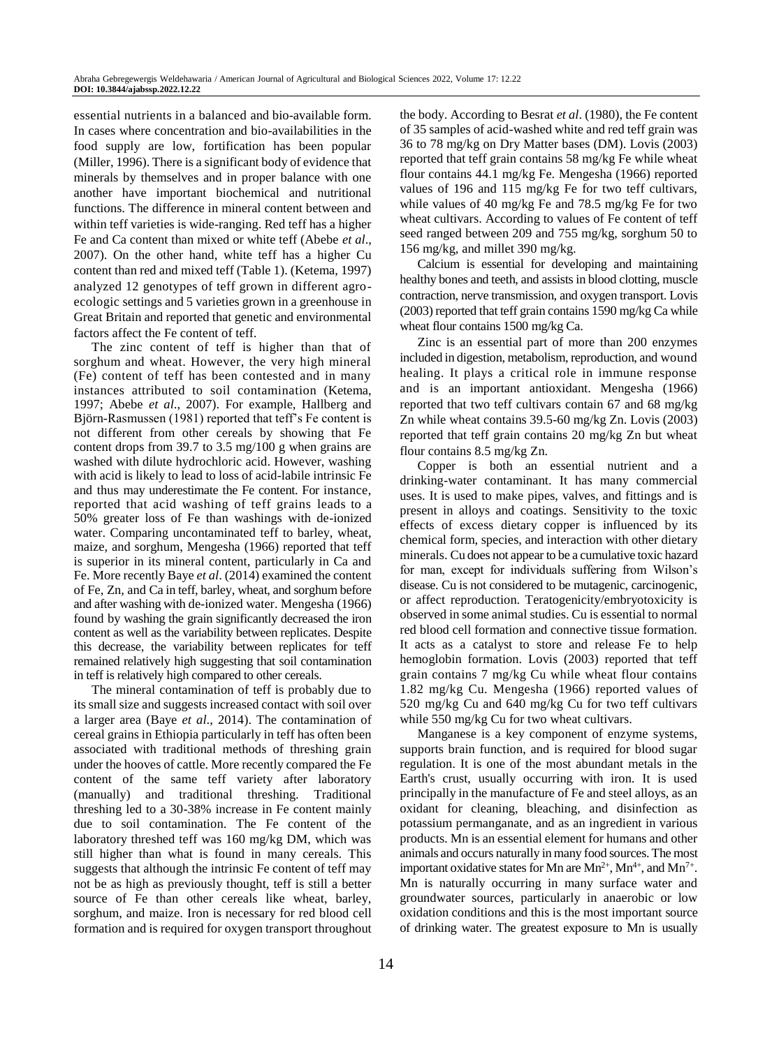essential nutrients in a balanced and bio-available form. In cases where concentration and bio-availabilities in the food supply are low, fortification has been popular (Miller, 1996). There is a significant body of evidence that minerals by themselves and in proper balance with one another have important biochemical and nutritional functions. The difference in mineral content between and within teff varieties is wide-ranging. Red teff has a higher Fe and Ca content than mixed or white teff (Abebe *et al*., 2007). On the other hand, white teff has a higher Cu content than red and mixed teff (Table 1). (Ketema, 1997) analyzed 12 genotypes of teff grown in different agroecologic settings and 5 varieties grown in a greenhouse in Great Britain and reported that genetic and environmental factors affect the Fe content of teff.

The zinc content of teff is higher than that of sorghum and wheat. However, the very high mineral (Fe) content of teff has been contested and in many instances attributed to soil contamination (Ketema, 1997; Abebe *et al*., 2007). For example, Hallberg and Björn-Rasmussen (1981) reported that teff's Fe content is not different from other cereals by showing that Fe content drops from 39.7 to 3.5 mg/100 g when grains are washed with dilute hydrochloric acid. However, washing with acid is likely to lead to loss of acid-labile intrinsic Fe and thus may underestimate the Fe content. For instance, reported that acid washing of teff grains leads to a 50% greater loss of Fe than washings with de-ionized water. Comparing uncontaminated teff to barley, wheat, maize, and sorghum, Mengesha (1966) reported that teff is superior in its mineral content, particularly in Ca and Fe. More recently Baye *et al*. (2014) examined the content of Fe, Zn, and Ca in teff, barley, wheat, and sorghum before and after washing with de-ionized water. Mengesha (1966) found by washing the grain significantly decreased the iron content as well as the variability between replicates. Despite this decrease, the variability between replicates for teff remained relatively high suggesting that soil contamination in teff is relatively high compared to other cereals.

The mineral contamination of teff is probably due to its small size and suggests increased contact with soil over a larger area (Baye *et al*., 2014). The contamination of cereal grains in Ethiopia particularly in teff has often been associated with traditional methods of threshing grain under the hooves of cattle. More recently compared the Fe content of the same teff variety after laboratory (manually) and traditional threshing. Traditional threshing led to a 30-38% increase in Fe content mainly due to soil contamination. The Fe content of the laboratory threshed teff was 160 mg/kg DM, which was still higher than what is found in many cereals. This suggests that although the intrinsic Fe content of teff may not be as high as previously thought, teff is still a better source of Fe than other cereals like wheat, barley, sorghum, and maize. Iron is necessary for red blood cell formation and is required for oxygen transport throughout

the body. According to Besrat *et al*. (1980), the Fe content of 35 samples of acid-washed white and red teff grain was 36 to 78 mg/kg on Dry Matter bases (DM). Lovis (2003) reported that teff grain contains 58 mg/kg Fe while wheat flour contains 44.1 mg/kg Fe. Mengesha (1966) reported values of 196 and 115 mg/kg Fe for two teff cultivars, while values of 40 mg/kg Fe and 78.5 mg/kg Fe for two wheat cultivars. According to values of Fe content of teff seed ranged between 209 and 755 mg/kg, sorghum 50 to 156 mg/kg, and millet 390 mg/kg.

Calcium is essential for developing and maintaining healthy bones and teeth, and assists in blood clotting, muscle contraction, nerve transmission, and oxygen transport. Lovis (2003) reported that teff grain contains 1590 mg/kg Ca while wheat flour contains 1500 mg/kg Ca.

Zinc is an essential part of more than 200 enzymes included in digestion, metabolism, reproduction, and wound healing. It plays a critical role in immune response and is an important antioxidant. Mengesha (1966) reported that two teff cultivars contain 67 and 68 mg/kg Zn while wheat contains 39.5-60 mg/kg Zn. Lovis (2003) reported that teff grain contains 20 mg/kg Zn but wheat flour contains 8.5 mg/kg Zn.

Copper is both an essential nutrient and a drinking-water contaminant. It has many commercial uses. It is used to make pipes, valves, and fittings and is present in alloys and coatings. Sensitivity to the toxic effects of excess dietary copper is influenced by its chemical form, species, and interaction with other dietary minerals. Cu does not appear to be a cumulative toxic hazard for man, except for individuals suffering from Wilson's disease. Cu is not considered to be mutagenic, carcinogenic, or affect reproduction. Teratogenicity/embryotoxicity is observed in some animal studies. Cu is essential to normal red blood cell formation and connective tissue formation. It acts as a catalyst to store and release Fe to help hemoglobin formation. Lovis (2003) reported that teff grain contains 7 mg/kg Cu while wheat flour contains 1.82 mg/kg Cu. Mengesha (1966) reported values of 520 mg/kg Cu and 640 mg/kg Cu for two teff cultivars while 550 mg/kg Cu for two wheat cultivars.

Manganese is a key component of enzyme systems, supports brain function, and is required for blood sugar regulation. It is one of the most abundant metals in the Earth's crust, usually occurring with iron. It is used principally in the manufacture of Fe and steel alloys, as an oxidant for cleaning, bleaching, and disinfection as potassium permanganate, and as an ingredient in various products. Mn is an essential element for humans and other animals and occurs naturally in many food sources. The most important oxidative states for Mn are  $Mn^{2+}$ ,  $Mn^{4+}$ , and  $Mn^{7+}$ . Mn is naturally occurring in many surface water and groundwater sources, particularly in anaerobic or low oxidation conditions and this is the most important source of drinking water. The greatest exposure to Mn is usually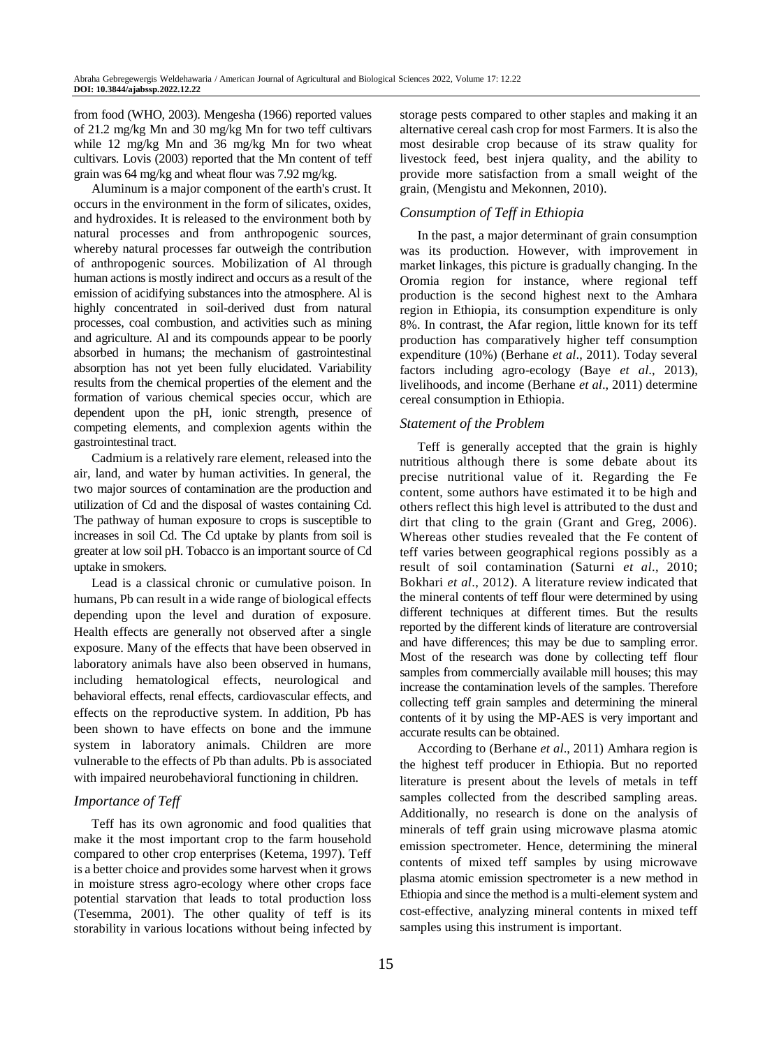from food (WHO, 2003). Mengesha (1966) reported values of 21.2 mg/kg Mn and 30 mg/kg Mn for two teff cultivars while 12 mg/kg Mn and 36 mg/kg Mn for two wheat cultivars. Lovis (2003) reported that the Mn content of teff grain was 64 mg/kg and wheat flour was 7.92 mg/kg.

Aluminum is a major component of the earth's crust. It occurs in the environment in the form of silicates, oxides, and hydroxides. It is released to the environment both by natural processes and from anthropogenic sources, whereby natural processes far outweigh the contribution of anthropogenic sources. Mobilization of Al through human actions is mostly indirect and occurs as a result of the emission of acidifying substances into the atmosphere. Al is highly concentrated in soil-derived dust from natural processes, coal combustion, and activities such as mining and agriculture. Al and its compounds appear to be poorly absorbed in humans; the mechanism of gastrointestinal absorption has not yet been fully elucidated. Variability results from the chemical properties of the element and the formation of various chemical species occur, which are dependent upon the pH, ionic strength, presence of competing elements, and complexion agents within the gastrointestinal tract.

Cadmium is a relatively rare element, released into the air, land, and water by human activities. In general, the two major sources of contamination are the production and utilization of Cd and the disposal of wastes containing Cd. The pathway of human exposure to crops is susceptible to increases in soil Cd. The Cd uptake by plants from soil is greater at low soil pH. Tobacco is an important source of Cd uptake in smokers.

Lead is a classical chronic or cumulative poison. In humans, Pb can result in a wide range of biological effects depending upon the level and duration of exposure. Health effects are generally not observed after a single exposure. Many of the effects that have been observed in laboratory animals have also been observed in humans, including hematological effects, neurological and behavioral effects, renal effects, cardiovascular effects, and effects on the reproductive system. In addition, Pb has been shown to have effects on bone and the immune system in laboratory animals. Children are more vulnerable to the effects of Pb than adults. Pb is associated with impaired neurobehavioral functioning in children.

# *Importance of Teff*

Teff has its own agronomic and food qualities that make it the most important crop to the farm household compared to other crop enterprises (Ketema, 1997). Teff is a better choice and provides some harvest when it grows in moisture stress agro-ecology where other crops face potential starvation that leads to total production loss (Tesemma, 2001). The other quality of teff is its storability in various locations without being infected by

storage pests compared to other staples and making it an alternative cereal cash crop for most Farmers. It is also the most desirable crop because of its straw quality for livestock feed, best injera quality, and the ability to provide more satisfaction from a small weight of the grain, (Mengistu and Mekonnen, 2010).

# *Consumption of Teff in Ethiopia*

In the past, a major determinant of grain consumption was its production. However, with improvement in market linkages, this picture is gradually changing. In the Oromia region for instance, where regional teff production is the second highest next to the Amhara region in Ethiopia, its consumption expenditure is only 8%. In contrast, the Afar region, little known for its teff production has comparatively higher teff consumption expenditure (10%) (Berhane *et al*., 2011). Today several factors including agro-ecology (Baye *et al*., 2013), livelihoods, and income (Berhane *et al*., 2011) determine cereal consumption in Ethiopia.

# *Statement of the Problem*

Teff is generally accepted that the grain is highly nutritious although there is some debate about its precise nutritional value of it. Regarding the Fe content, some authors have estimated it to be high and others reflect this high level is attributed to the dust and dirt that cling to the grain (Grant and Greg, 2006). Whereas other studies revealed that the Fe content of teff varies between geographical regions possibly as a result of soil contamination (Saturni *et al*., 2010; Bokhari *et al*., 2012). A literature review indicated that the mineral contents of teff flour were determined by using different techniques at different times. But the results reported by the different kinds of literature are controversial and have differences; this may be due to sampling error. Most of the research was done by collecting teff flour samples from commercially available mill houses; this may increase the contamination levels of the samples. Therefore collecting teff grain samples and determining the mineral contents of it by using the MP-AES is very important and accurate results can be obtained.

According to (Berhane *et al*., 2011) Amhara region is the highest teff producer in Ethiopia. But no reported literature is present about the levels of metals in teff samples collected from the described sampling areas. Additionally, no research is done on the analysis of minerals of teff grain using microwave plasma atomic emission spectrometer. Hence, determining the mineral contents of mixed teff samples by using microwave plasma atomic emission spectrometer is a new method in Ethiopia and since the method is a multi-element system and cost-effective, analyzing mineral contents in mixed teff samples using this instrument is important.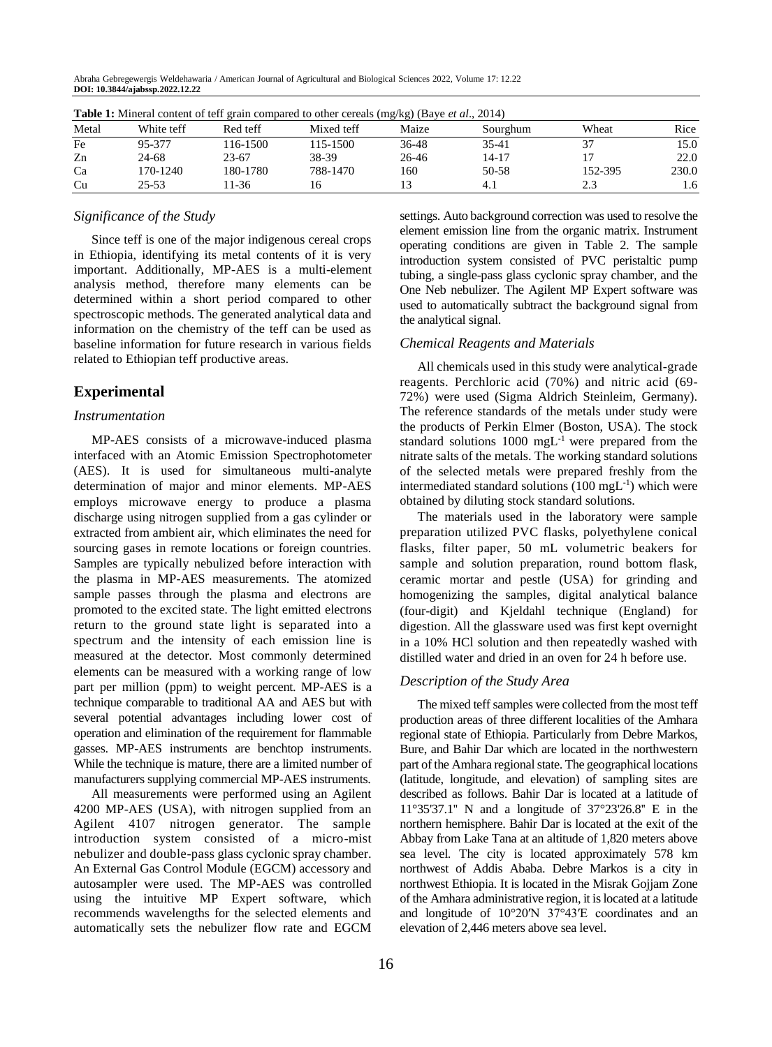Abraha Gebregewergis Weldehawaria / American Journal of Agricultural and Biological Sciences 2022, Volume 17: 12.22 **DOI: 10.3844/ajabssp.2022.12.22**

|       |            |          | <b>Table 1:</b> Mineral content of term grain compared to other cereals (mg/kg) (Baye <i>et al.</i> , 2014) |       |          |         |       |
|-------|------------|----------|-------------------------------------------------------------------------------------------------------------|-------|----------|---------|-------|
| Metal | White teff | Red teff | Mixed teff                                                                                                  | Maize | Sourghum | Wheat   | Rice  |
| Fe    | 95-377     | 16-1500  | 115-1500                                                                                                    | 36-48 | 35-41    | 37      | 15.0  |
| Zn    | 24-68      | 23-67    | 38-39                                                                                                       | 26-46 | 14-17    |         | 22.0  |
| Ca    | 170-1240   | 180-1780 | 788-1470                                                                                                    | 160   | 50-58    | 152-395 | 230.0 |
| Cu    | 25-53      | $1 - 36$ |                                                                                                             |       | 4.1      | 2.3     | 1.6   |

**Table 1:** Mineral content of teff grain compared to other cereals ( $B \wedge B$ ) (Baye et al., 2014)

#### *Significance of the Study*

Since teff is one of the major indigenous cereal crops in Ethiopia, identifying its metal contents of it is very important. Additionally, MP-AES is a multi-element analysis method, therefore many elements can be determined within a short period compared to other spectroscopic methods. The generated analytical data and information on the chemistry of the teff can be used as baseline information for future research in various fields related to Ethiopian teff productive areas.

# **Experimental**

#### *Instrumentation*

MP-AES consists of a microwave-induced plasma interfaced with an Atomic Emission Spectrophotometer (AES). It is used for simultaneous multi-analyte determination of major and minor elements. MP-AES employs microwave energy to produce a plasma discharge using nitrogen supplied from a gas cylinder or extracted from ambient air, which eliminates the need for sourcing gases in remote locations or foreign countries. Samples are typically nebulized before interaction with the plasma in MP-AES measurements. The atomized sample passes through the plasma and electrons are promoted to the excited state. The light emitted electrons return to the ground state light is separated into a spectrum and the intensity of each emission line is measured at the detector. Most commonly determined elements can be measured with a working range of low part per million (ppm) to weight percent. MP-AES is a technique comparable to traditional AA and AES but with several potential advantages including lower cost of operation and elimination of the requirement for flammable gasses. MP-AES instruments are benchtop instruments. While the technique is mature, there are a limited number of manufacturers supplying commercial MP-AES instruments.

All measurements were performed using an Agilent 4200 MP-AES (USA), with nitrogen supplied from an Agilent 4107 nitrogen generator. The sample introduction system consisted of a micro-mist nebulizer and double-pass glass cyclonic spray chamber. An External Gas Control Module (EGCM) accessory and autosampler were used. The MP-AES was controlled using the intuitive MP Expert software, which recommends wavelengths for the selected elements and automatically sets the nebulizer flow rate and EGCM

settings. Auto background correction was used to resolve the element emission line from the organic matrix. Instrument operating conditions are given in Table 2. The sample introduction system consisted of PVC peristaltic pump tubing, a single-pass glass cyclonic spray chamber, and the One Neb nebulizer. The Agilent MP Expert software was used to automatically subtract the background signal from the analytical signal.

#### *Chemical Reagents and Materials*

All chemicals used in this study were analytical-grade reagents. Perchloric acid (70%) and nitric acid (69- 72%) were used (Sigma Aldrich Steinleim, Germany). The reference standards of the metals under study were the products of Perkin Elmer (Boston, USA). The stock standard solutions  $1000 \text{ mgL}^{-1}$  were prepared from the nitrate salts of the metals. The working standard solutions of the selected metals were prepared freshly from the intermediated standard solutions  $(100 \text{ mgL}^{-1})$  which were obtained by diluting stock standard solutions.

The materials used in the laboratory were sample preparation utilized PVC flasks, polyethylene conical flasks, filter paper, 50 mL volumetric beakers for sample and solution preparation, round bottom flask, ceramic mortar and pestle (USA) for grinding and homogenizing the samples, digital analytical balance (four-digit) and Kjeldahl technique (England) for digestion. All the glassware used was first kept overnight in a 10% HCl solution and then repeatedly washed with distilled water and dried in an oven for 24 h before use.

#### *Description of the Study Area*

The mixed teff samples were collected from the most teff production areas of three different localities of the Amhara regional state of Ethiopia. Particularly from Debre Markos, Bure, and Bahir Dar which are located in the northwestern part of the Amhara regional state. The geographical locations (latitude, longitude, and elevation) of sampling sites are described as follows. Bahir Dar is located at a latitude of 11°35'37.1'' N and a longitude of 37°23'26.8'' E in the northern hemisphere. Bahir Dar is located at the exit of the Abbay from Lake Tana at an altitude of 1,820 meters above sea level. The city is located approximately 578 km northwest of Addis Ababa. Debre Markos is a city in northwest Ethiopia. It is located in the Misrak Gojjam Zone of the Amhara administrative region, it is located at a latitude and longitude of 10°20′N 37°43′E coordinates and an elevation of 2,446 meters above sea level.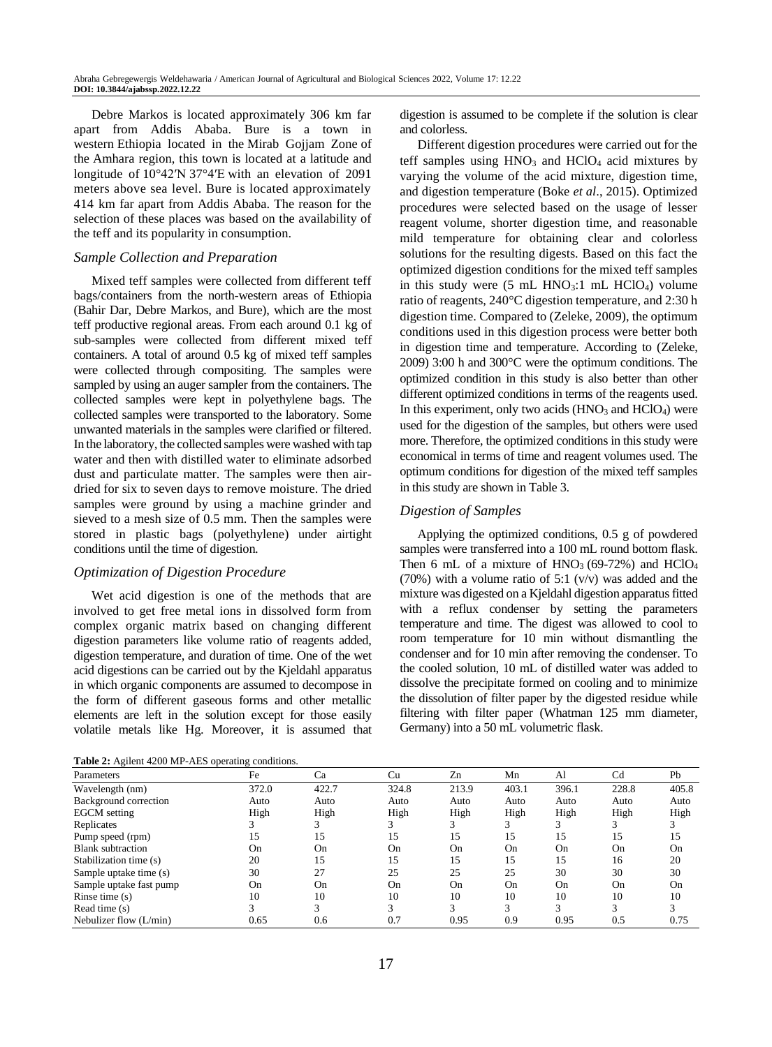Debre Markos is located approximately 306 km far apart from Addis Ababa. Bure is a town in western [Ethiopia](https://en.wikipedia.org/wiki/Ethiopia) located in the [Mirab Gojjam Zone](https://en.wikipedia.org/wiki/Mirab_Gojjam_Zone) of the [Amhara region,](https://en.wikipedia.org/wiki/Amhara_Region) this town is located at a latitude and longitude of [10°42′N](https://tools.wmflabs.org/geohack/geohack.php?pagename=Bure_(Gojjam),_Ethiopia¶ms=10_42_N_37_4_E_) 37°4′E with an elevation of 2091 meters above sea level. Bure is located approximately 414 km far apart from Addis Ababa. The reason for the selection of these places was based on the availability of the teff and its popularity in consumption.

## *Sample Collection and Preparation*

Mixed teff samples were collected from different teff bags/containers from the north-western areas of Ethiopia (Bahir Dar, Debre Markos, and Bure), which are the most teff productive regional areas. From each around 0.1 kg of sub-samples were collected from different mixed teff containers. A total of around 0.5 kg of mixed teff samples were collected through compositing. The samples were sampled by using an auger sampler from the containers. The collected samples were kept in polyethylene bags. The collected samples were transported to the laboratory. Some unwanted materials in the samples were clarified or filtered. In the laboratory, the collected samples were washed with tap water and then with distilled water to eliminate adsorbed dust and particulate matter. The samples were then airdried for six to seven days to remove moisture. The dried samples were ground by using a machine grinder and sieved to a mesh size of 0.5 mm. Then the samples were stored in plastic bags (polyethylene) under airtight conditions until the time of digestion.

#### *Optimization of Digestion Procedure*

Wet acid digestion is one of the methods that are involved to get free metal ions in dissolved form from complex organic matrix based on changing different digestion parameters like volume ratio of reagents added, digestion temperature, and duration of time. One of the wet acid digestions can be carried out by the Kjeldahl apparatus in which organic components are assumed to decompose in the form of different gaseous forms and other metallic elements are left in the solution except for those easily volatile metals like Hg. Moreover, it is assumed that

**Table 2:** Agilent 4200 MP-AES operating conditions.

digestion is assumed to be complete if the solution is clear and colorless.

Different digestion procedures were carried out for the teff samples using  $HNO<sub>3</sub>$  and  $HClO<sub>4</sub>$  acid mixtures by varying the volume of the acid mixture, digestion time, and digestion temperature (Boke *et al*., 2015). Optimized procedures were selected based on the usage of lesser reagent volume, shorter digestion time, and reasonable mild temperature for obtaining clear and colorless solutions for the resulting digests. Based on this fact the optimized digestion conditions for the mixed teff samples in this study were  $(5 \text{ mL HNO}_3:1 \text{ mL HClO}_4)$  volume ratio of reagents, 240°C digestion temperature, and 2:30 h digestion time. Compared to (Zeleke, 2009), the optimum conditions used in this digestion process were better both in digestion time and temperature. According to (Zeleke, 2009) 3:00 h and 300°C were the optimum conditions. The optimized condition in this study is also better than other different optimized conditions in terms of the reagents used. In this experiment, only two acids  $(HNO<sub>3</sub> and HClO<sub>4</sub>)$  were used for the digestion of the samples, but others were used more. Therefore, the optimized conditions in this study were economical in terms of time and reagent volumes used. The optimum conditions for digestion of the mixed teff samples in this study are shown in Table 3.

#### *Digestion of Samples*

Applying the optimized conditions, 0.5 g of powdered samples were transferred into a 100 mL round bottom flask. Then 6 mL of a mixture of  $HNO<sub>3</sub>$  (69-72%) and  $HClO<sub>4</sub>$ (70%) with a volume ratio of 5:1  $(v/v)$  was added and the mixture was digested on a Kjeldahl digestion apparatus fitted with a reflux condenser by setting the parameters temperature and time. The digest was allowed to cool to room temperature for 10 min without dismantling the condenser and for 10 min after removing the condenser. To the cooled solution, 10 mL of distilled water was added to dissolve the precipitate formed on cooling and to minimize the dissolution of filter paper by the digested residue while filtering with filter paper (Whatman 125 mm diameter, Germany) into a 50 mL volumetric flask.

| <b>Tuble 2.</b> Transit 1200 M. Theo operating conditions. |       |       |       |       |       |       |                |       |
|------------------------------------------------------------|-------|-------|-------|-------|-------|-------|----------------|-------|
| Parameters                                                 | Fe    | Ca    | Cu    | Zn    | Mn    | Al    | C <sub>d</sub> | Pb    |
| Wavelength (nm)                                            | 372.0 | 422.7 | 324.8 | 213.9 | 403.1 | 396.1 | 228.8          | 405.8 |
| Background correction                                      | Auto  | Auto  | Auto  | Auto  | Auto  | Auto  | Auto           | Auto  |
| <b>EGCM</b> setting                                        | High  | High  | High  | High  | High  | High  | High           | High  |
| Replicates                                                 |       |       |       |       |       |       |                |       |
| Pump speed (rpm)                                           | 15    | 15    | 15    | 15    | 15    | 15    | 15             | 15    |
| <b>Blank</b> subtraction                                   | On    | On    | On    | On    | On    | On    | On             | On    |
| Stabilization time (s)                                     | 20    | 15    | 15    | 15    | 15    | 15    | 16             | 20    |
| Sample uptake time (s)                                     | 30    | 27    | 25    | 25    | 25    | 30    | 30             | 30    |
| Sample uptake fast pump                                    | On    | On    | On    | On    | On    | On    | On             | On    |
| Rinse time $(s)$                                           | 10    | 10    | 10    | 10    | 10    | 10    | 10             | 10    |
| Read time (s)                                              |       |       |       |       | 3     | 3     |                |       |
| Nebulizer flow $(L/min)$                                   | 0.65  | 0.6   | 0.7   | 0.95  | 0.9   | 0.95  | 0.5            | 0.75  |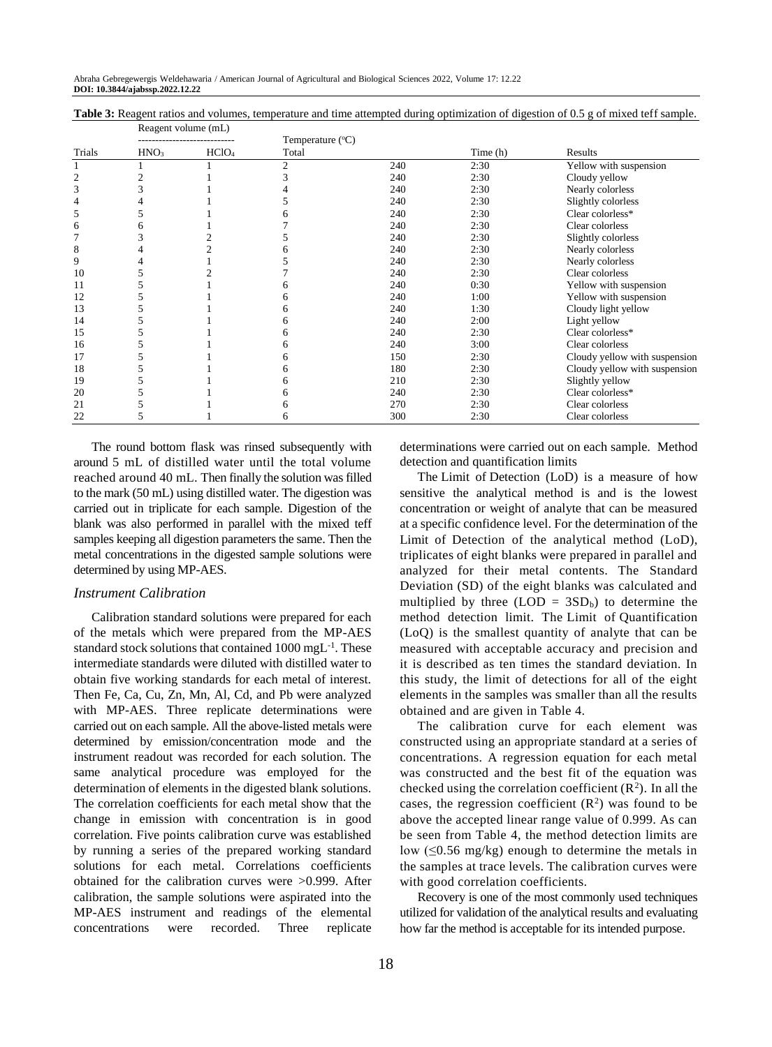| Table 3: Reagent ratios and volumes, temperature and time attempted during optimization of digestion of 0.5 g of mixed teff sample. |  |  |
|-------------------------------------------------------------------------------------------------------------------------------------|--|--|
| $D$ aggregated volume $(mI)$                                                                                                        |  |  |

| Temperature $(^{\circ}C)$<br>Trials<br>HNO <sub>3</sub><br>HCIO <sub>4</sub><br>Time (h)<br>Total<br>Results<br>240<br>2:30<br>$\overline{c}$<br>Cloudy yellow<br>$\overline{c}$<br>240<br>2:30 |                               |
|-------------------------------------------------------------------------------------------------------------------------------------------------------------------------------------------------|-------------------------------|
|                                                                                                                                                                                                 |                               |
|                                                                                                                                                                                                 | Yellow with suspension        |
|                                                                                                                                                                                                 |                               |
| 3<br>240<br>2:30<br>Nearly colorless                                                                                                                                                            |                               |
| 240<br>2:30<br>Slightly colorless<br>4                                                                                                                                                          |                               |
| 240<br>Clear colorless*<br>2:30<br>5                                                                                                                                                            |                               |
| 240<br>2:30<br>Clear colorless<br>6                                                                                                                                                             |                               |
| 240<br>2:30<br>Slightly colorless                                                                                                                                                               |                               |
| 8<br>Nearly colorless<br>240<br>2:30                                                                                                                                                            |                               |
| 9<br>2:30<br>240<br>Nearly colorless                                                                                                                                                            |                               |
| 2:30<br>Clear colorless<br>10<br>240                                                                                                                                                            |                               |
| 240<br>0:30<br>11                                                                                                                                                                               | Yellow with suspension        |
| 12<br>240<br>1:00                                                                                                                                                                               | Yellow with suspension        |
| 240<br>1:30<br>Cloudy light yellow<br>13                                                                                                                                                        |                               |
| 240<br>2:00<br>Light yellow<br>14                                                                                                                                                               |                               |
| 240<br>2:30<br>Clear colorless*<br>15                                                                                                                                                           |                               |
| 240<br>Clear colorless<br>3:00<br>16                                                                                                                                                            |                               |
| 150<br>2:30<br>17                                                                                                                                                                               | Cloudy yellow with suspension |
| 18<br>180<br>2:30                                                                                                                                                                               | Cloudy yellow with suspension |
| 19<br>210<br>Slightly yellow<br>2:30                                                                                                                                                            |                               |
| Clear colorless*<br>20<br>240<br>2:30                                                                                                                                                           |                               |
| 21<br>270<br>Clear colorless<br>2:30                                                                                                                                                            |                               |
| 300<br>2:30<br>Clear colorless<br>22<br>6<br>C                                                                                                                                                  |                               |

The round bottom flask was rinsed subsequently with around 5 mL of distilled water until the total volume reached around 40 mL. Then finally the solution was filled to the mark (50 mL) using distilled water. The digestion was carried out in triplicate for each sample. Digestion of the blank was also performed in parallel with the mixed teff samples keeping all digestion parameters the same. Then the metal concentrations in the digested sample solutions were determined by using MP-AES.

#### *Instrument Calibration*

Calibration standard solutions were prepared for each of the metals which were prepared from the MP-AES standard stock solutions that contained 1000 mgL<sup>-1</sup>. These intermediate standards were diluted with distilled water to obtain five working standards for each metal of interest. Then Fe, Ca, Cu, Zn, Mn, Al, Cd, and Pb were analyzed with MP-AES. Three replicate determinations were carried out on each sample. All the above-listed metals were determined by emission/concentration mode and the instrument readout was recorded for each solution. The same analytical procedure was employed for the determination of elements in the digested blank solutions. The correlation coefficients for each metal show that the change in emission with concentration is in good correlation. Five points calibration curve was established by running a series of the prepared working standard solutions for each metal. Correlations coefficients obtained for the calibration curves were >0.999. After calibration, the sample solutions were aspirated into the MP-AES instrument and readings of the elemental concentrations were recorded. Three replicate

determinations were carried out on each sample. Method detection and quantification limits

The Limit of Detection (LoD) is a measure of how sensitive the analytical method is and is the lowest concentration or weight of analyte that can be measured at a specific confidence level. For the determination of the Limit of Detection of the analytical method (LoD), triplicates of eight blanks were prepared in parallel and analyzed for their metal contents. The Standard Deviation (SD) of the eight blanks was calculated and multiplied by three  $(LOD = 3SD_b)$  to determine the method detection limit. The Limit of Quantification (LoQ) is the smallest quantity of analyte that can be measured with acceptable accuracy and precision and it is described as ten times the standard deviation. In this study, the limit of detections for all of the eight elements in the samples was smaller than all the results obtained and are given in Table 4.

The calibration curve for each element was constructed using an appropriate standard at a series of concentrations. A regression equation for each metal was constructed and the best fit of the equation was checked using the correlation coefficient  $(R^2)$ . In all the cases, the regression coefficient  $(R^2)$  was found to be above the accepted linear range value of 0.999. As can be seen from Table 4, the method detection limits are low  $(\leq 0.56 \text{ mg/kg})$  enough to determine the metals in the samples at trace levels. The calibration curves were with good correlation coefficients.

Recovery is one of the most commonly used techniques utilized for validation of the analytical results and evaluating how far the method is acceptable for its intended purpose.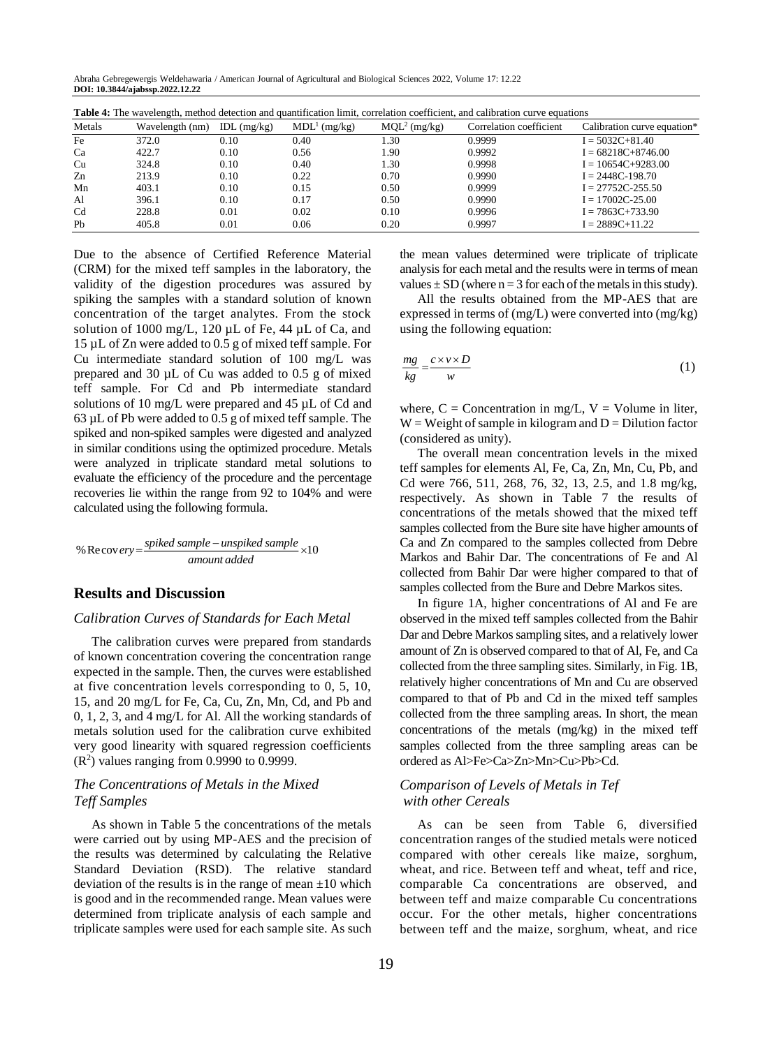Abraha Gebregewergis Weldehawaria / American Journal of Agricultural and Biological Sciences 2022, Volume 17: 12.22 **DOI: 10.3844/ajabssp.2022.12.22**

| Table 4: The wavelength, method detection and quantification limit, correlation coefficient, and calibration curve equations |                 |               |                          |                |                         |                             |  |
|------------------------------------------------------------------------------------------------------------------------------|-----------------|---------------|--------------------------|----------------|-------------------------|-----------------------------|--|
| Metals                                                                                                                       | Wavelength (nm) | IDL $(mg/kg)$ | MDL <sup>1</sup> (mg/kg) | $MQL2$ (mg/kg) | Correlation coefficient | Calibration curve equation* |  |
| Fe                                                                                                                           | 372.0           | 0.10          | 0.40                     | 1.30           | 0.9999                  | $I = 5032C + 81.40$         |  |
| Ca                                                                                                                           | 422.7           | 0.10          | 0.56                     | 1.90           | 0.9992                  | $I = 68218C + 8746.00$      |  |
| Cu                                                                                                                           | 324.8           | 0.10          | 0.40                     | 1.30           | 0.9998                  | $I = 10654C + 9283.00$      |  |
| Zn                                                                                                                           | 213.9           | 0.10          | 0.22                     | 0.70           | 0.9990                  | $I = 2448C - 198.70$        |  |
| Mn                                                                                                                           | 403.1           | 0.10          | 0.15                     | 0.50           | 0.9999                  | $I = 27752C - 255.50$       |  |
| Al                                                                                                                           | 396.1           | 0.10          | 0.17                     | 0.50           | 0.9990                  | $I = 17002C - 25.00$        |  |
| C <sub>d</sub>                                                                                                               | 228.8           | 0.01          | 0.02                     | 0.10           | 0.9996                  | $I = 7863C + 733.90$        |  |
| Pb                                                                                                                           | 405.8           | 0.01          | 0.06                     | 0.20           | 0.9997                  | $I = 2889C + 11.22$         |  |

Due to the absence of Certified Reference Material (CRM) for the mixed teff samples in the laboratory, the validity of the digestion procedures was assured by spiking the samples with a standard solution of known concentration of the target analytes. From the stock solution of 1000 mg/L, 120  $\mu$ L of Fe, 44  $\mu$ L of Ca, and 15 µL of Zn were added to 0.5 g of mixed teff sample. For Cu intermediate standard solution of 100 mg/L was prepared and 30 µL of Cu was added to 0.5 g of mixed teff sample. For Cd and Pb intermediate standard solutions of 10 mg/L were prepared and 45 µL of Cd and 63 µL of Pb were added to 0.5 g of mixed teff sample. The spiked and non-spiked samples were digested and analyzed in similar conditions using the optimized procedure. Metals were analyzed in triplicate standard metal solutions to evaluate the efficiency of the procedure and the percentage recoveries lie within the range from 92 to 104% and were calculated using the following formula.

% Recovery = 
$$
\frac{spiked sample - unspiked sample}{amount added} \times 10
$$

# **Results and Discussion**

#### *Calibration Curves of Standards for Each Metal*

The calibration curves were prepared from standards of known concentration covering the concentration range expected in the sample. Then, the curves were established at five concentration levels corresponding to 0, 5, 10, 15, and 20 mg/L for Fe, Ca, Cu, Zn, Mn, Cd, and Pb and 0, 1, 2, 3, and 4 mg/L for Al. All the working standards of metals solution used for the calibration curve exhibited very good linearity with squared regression coefficients  $(R<sup>2</sup>)$  values ranging from 0.9990 to 0.9999.

## *The Concentrations of Metals in the Mixed Teff Samples*

As shown in Table 5 the concentrations of the metals were carried out by using MP-AES and the precision of the results was determined by calculating the Relative Standard Deviation (RSD). The relative standard deviation of the results is in the range of mean  $\pm 10$  which is good and in the recommended range. Mean values were determined from triplicate analysis of each sample and triplicate samples were used for each sample site. As such the mean values determined were triplicate of triplicate analysis for each metal and the results were in terms of mean values  $\pm$  SD (where n = 3 for each of the metals in this study).

All the results obtained from the MP-AES that are expressed in terms of (mg/L) were converted into (mg/kg) using the following equation:

$$
\frac{mg}{kg} = \frac{c \times v \times D}{w} \tag{1}
$$

where,  $C =$  Concentration in mg/L,  $V =$  Volume in liter,  $W = Weight of sample in kilogram and D = Dilution factor$ (considered as unity).

The overall mean concentration levels in the mixed teff samples for elements Al, Fe, Ca, Zn, Mn, Cu, Pb, and Cd were 766, 511, 268, 76, 32, 13, 2.5, and 1.8 mg/kg, respectively. As shown in Table 7 the results of concentrations of the metals showed that the mixed teff samples collected from the Bure site have higher amounts of Ca and Zn compared to the samples collected from Debre Markos and Bahir Dar. The concentrations of Fe and Al collected from Bahir Dar were higher compared to that of samples collected from the Bure and Debre Markos sites.

In figure 1A, higher concentrations of Al and Fe are observed in the mixed teff samples collected from the Bahir Dar and Debre Markos sampling sites, and a relatively lower amount of Zn is observed compared to that of Al, Fe, and Ca collected from the three sampling sites. Similarly, in Fig. 1B, relatively higher concentrations of Mn and Cu are observed compared to that of Pb and Cd in the mixed teff samples collected from the three sampling areas. In short, the mean concentrations of the metals (mg/kg) in the mixed teff samples collected from the three sampling areas can be ordered as Al>Fe>Ca>Zn>Mn>Cu>Pb>Cd.

## *Comparison of Levels of Metals in Tef with other Cereals*

As can be seen from Table 6, diversified concentration ranges of the studied metals were noticed compared with other cereals like maize, sorghum, wheat, and rice. Between teff and wheat, teff and rice, comparable Ca concentrations are observed, and between teff and maize comparable Cu concentrations occur. For the other metals, higher concentrations between teff and the maize, sorghum, wheat, and rice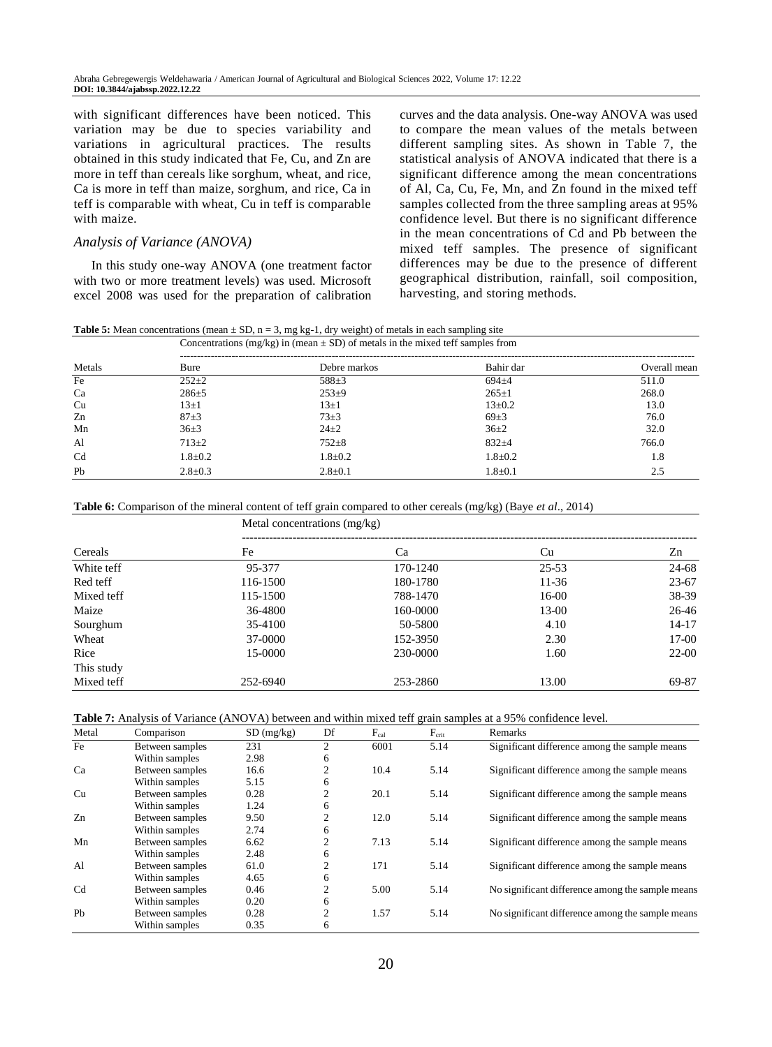with significant differences have been noticed. This variation may be due to species variability and variations in agricultural practices. The results obtained in this study indicated that Fe, Cu, and Zn are more in teff than cereals like sorghum, wheat, and rice, Ca is more in teff than maize, sorghum, and rice, Ca in teff is comparable with wheat, Cu in teff is comparable with maize.

## *Analysis of Variance (ANOVA)*

In this study one-way ANOVA (one treatment factor with two or more treatment levels) was used. Microsoft excel 2008 was used for the preparation of calibration curves and the data analysis. One-way ANOVA was used to compare the mean values of the metals between different sampling sites. As shown in Table 7, the statistical analysis of ANOVA indicated that there is a significant difference among the mean concentrations of Al, Ca, Cu, Fe, Mn, and Zn found in the mixed teff samples collected from the three sampling areas at 95% confidence level. But there is no significant difference in the mean concentrations of Cd and Pb between the mixed teff samples. The presence of significant differences may be due to the presence of different geographical distribution, rainfall, soil composition, harvesting, and storing methods.

| <b>Table 5:</b> Mean concentrations (mean $\pm$ SD, n = 3, mg kg-1, dry weight) of metals in each sampling site |
|-----------------------------------------------------------------------------------------------------------------|
|-----------------------------------------------------------------------------------------------------------------|

|                |               | Concentrations (mg/kg) in (mean $\pm$ SD) of metals in the mixed teff samples from |               |              |  |  |  |
|----------------|---------------|------------------------------------------------------------------------------------|---------------|--------------|--|--|--|
| Metals         | Bure          | Debre markos                                                                       | Bahir dar     | Overall mean |  |  |  |
| Fe             | $252+2$       | $588+3$                                                                            | $694 + 4$     | 511.0        |  |  |  |
| Ca             | $286+5$       | $253+9$                                                                            | $265 \pm 1$   | 268.0        |  |  |  |
| Cu             | $13\pm1$      | $13\pm1$                                                                           | $13\pm0.2$    | 13.0         |  |  |  |
| Zn             | $87 + 3$      | $73+3$                                                                             | $69+3$        | 76.0         |  |  |  |
| Mn             | $36+3$        | $24\pm 2$                                                                          | $36+2$        | 32.0         |  |  |  |
| Al             | $713+2$       | $752 + 8$                                                                          | $832+4$       | 766.0        |  |  |  |
| C <sub>d</sub> | $1.8 \pm 0.2$ | $1.8 \pm 0.2$                                                                      | $1.8 \pm 0.2$ | 1.8          |  |  |  |
| Pb             | $2.8 \pm 0.3$ | $2.8 \pm 0.1$                                                                      | $1.8 \pm 0.1$ | 2.5          |  |  |  |

**Table 6:** Comparison of the mineral content of teff grain compared to other cereals (mg/kg) (Baye *et al*., 2014)

Metal concentrations (mg/kg)

| Cereals    | Fe       | Ca       | Cu        | Zn        |
|------------|----------|----------|-----------|-----------|
| White teff | 95-377   | 170-1240 | $25 - 53$ | 24-68     |
| Red teff   | 116-1500 | 180-1780 | $11-36$   | $23 - 67$ |
| Mixed teff | 115-1500 | 788-1470 | $16-00$   | 38-39     |
| Maize      | 36-4800  | 160-0000 | $13-00$   | 26-46     |
| Sourghum   | 35-4100  | 50-5800  | 4.10      | $14 - 17$ |
| Wheat      | 37-0000  | 152-3950 | 2.30      | $17-00$   |
| Rice       | 15-0000  | 230-0000 | 1.60      | $22 - 00$ |
| This study |          |          |           |           |
| Mixed teff | 252-6940 | 253-2860 | 13.00     | 69-87     |

**Table 7:** Analysis of Variance (ANOVA) between and within mixed teff grain samples at a 95% confidence level.

| Metal          | Comparison      | SD(mg/kg) | Df | $F_{cal}$ | $F_{\rm crit}$ | Remarks                                          |
|----------------|-----------------|-----------|----|-----------|----------------|--------------------------------------------------|
| Fe             | Between samples | 231       | 2  | 6001      | 5.14           | Significant difference among the sample means    |
|                | Within samples  | 2.98      | 6  |           |                |                                                  |
| Ca             | Between samples | 16.6      | 2  | 10.4      | 5.14           | Significant difference among the sample means    |
|                | Within samples  | 5.15      | 6  |           |                |                                                  |
| Cu             | Between samples | 0.28      | 2  | 20.1      | 5.14           | Significant difference among the sample means    |
|                | Within samples  | 1.24      | 6  |           |                |                                                  |
| Zn             | Between samples | 9.50      | 2  | 12.0      | 5.14           | Significant difference among the sample means    |
|                | Within samples  | 2.74      | 6  |           |                |                                                  |
| Mn             | Between samples | 6.62      | 2  | 7.13      | 5.14           | Significant difference among the sample means    |
|                | Within samples  | 2.48      | 6  |           |                |                                                  |
| A <sub>1</sub> | Between samples | 61.0      | 2  | 171       | 5.14           | Significant difference among the sample means    |
|                | Within samples  | 4.65      | 6  |           |                |                                                  |
| Cd             | Between samples | 0.46      | 2  | 5.00      | 5.14           | No significant difference among the sample means |
|                | Within samples  | 0.20      | 6  |           |                |                                                  |
| P <sub>b</sub> | Between samples | 0.28      | 2  | 1.57      | 5.14           | No significant difference among the sample means |
|                | Within samples  | 0.35      | 6  |           |                |                                                  |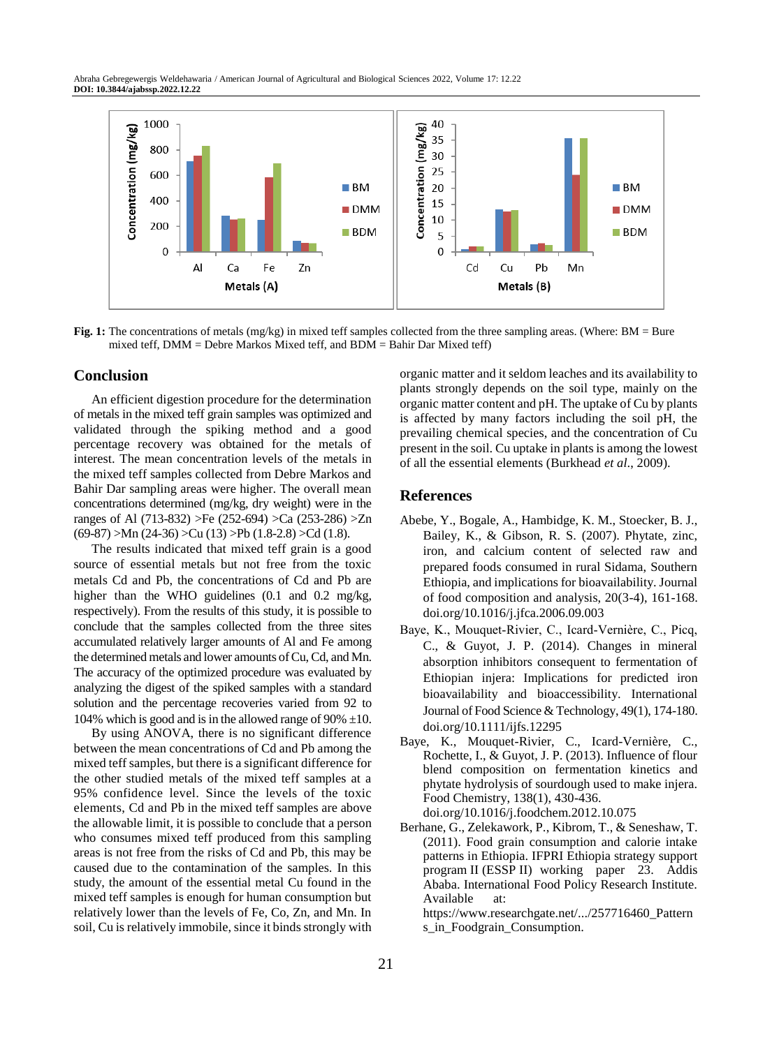Abraha Gebregewergis Weldehawaria / American Journal of Agricultural and Biological Sciences 2022, Volume 17: 12.22 **DOI: 10.3844/ajabssp.2022.12.22**



**Fig. 1:** The concentrations of metals (mg/kg) in mixed teff samples collected from the three sampling areas. (Where: BM = Bure mixed teff, DMM = Debre Markos Mixed teff, and BDM = Bahir Dar Mixed teff)

## **Conclusion**

An efficient digestion procedure for the determination of metals in the mixed teff grain samples was optimized and validated through the spiking method and a good percentage recovery was obtained for the metals of interest. The mean concentration levels of the metals in the mixed teff samples collected from Debre Markos and Bahir Dar sampling areas were higher. The overall mean concentrations determined (mg/kg, dry weight) were in the ranges of Al (713-832) >Fe (252-694) >Ca (253-286) >Zn  $(69-87)$  >Mn  $(24-36)$  >Cu  $(13)$  >Pb  $(1.8-2.8)$  >Cd  $(1.8)$ .

The results indicated that mixed teff grain is a good source of essential metals but not free from the toxic metals Cd and Pb, the concentrations of Cd and Pb are higher than the WHO guidelines (0.1 and 0.2 mg/kg, respectively). From the results of this study, it is possible to conclude that the samples collected from the three sites accumulated relatively larger amounts of Al and Fe among the determined metals and lower amounts of Cu, Cd, and Mn. The accuracy of the optimized procedure was evaluated by analyzing the digest of the spiked samples with a standard solution and the percentage recoveries varied from 92 to 104% which is good and is in the allowed range of 90%  $\pm$ 10.

By using ANOVA, there is no significant difference between the mean concentrations of Cd and Pb among the mixed teff samples, but there is a significant difference for the other studied metals of the mixed teff samples at a 95% confidence level. Since the levels of the toxic elements, Cd and Pb in the mixed teff samples are above the allowable limit, it is possible to conclude that a person who consumes mixed teff produced from this sampling areas is not free from the risks of Cd and Pb, this may be caused due to the contamination of the samples. In this study, the amount of the essential metal Cu found in the mixed teff samples is enough for human consumption but relatively lower than the levels of Fe, Co, Zn, and Mn. In soil, Cu is relatively immobile, since it binds strongly with organic matter and it seldom leaches and its availability to plants strongly depends on the soil type, mainly on the organic matter content and pH. The uptake of Cu by plants is affected by many factors including the soil pH, the prevailing chemical species, and the concentration of Cu present in the soil. Cu uptake in plants is among the lowest of all the essential elements (Burkhead *et al*., 2009).

## **References**

- Abebe, Y., Bogale, A., Hambidge, K. M., Stoecker, B. J., Bailey, K., & Gibson, R. S. (2007). Phytate, zinc, iron, and calcium content of selected raw and prepared foods consumed in rural Sidama, Southern Ethiopia, and implications for bioavailability. Journal of food composition and analysis, 20(3-4), 161-168. doi.org/10.1016/j.jfca.2006.09.003
- Baye, K., Mouquet‐Rivier, C., Icard‐Vernière, C., Picq, C., & Guyot, J. P. (2014). Changes in mineral absorption inhibitors consequent to fermentation of Ethiopian injera: Implications for predicted iron bioavailability and bioaccessibility. International Journal of Food Science & Technology, 49(1), 174-180. doi.org/10.1111/ijfs.12295
- Baye, K., Mouquet-Rivier, C., Icard-Vernière, C., Rochette, I., & Guyot, J. P. (2013). Influence of flour blend composition on fermentation kinetics and phytate hydrolysis of sourdough used to make injera. Food Chemistry, 138(1), 430-436. doi.org/10.1016/j.foodchem.2012.10.075
- Berhane, G., Zelekawork, P., Kibrom, T., & Seneshaw, T. (2011). Food grain consumption and calorie intake patterns in Ethiopia. IFPRI Ethiopia strategy support program II (ESSP II) working paper 23. Addis Ababa. International Food Policy Research Institute. [Available at:](https://www.researchgate.net/publication/257716460_Patterns_in_Foodgrain_Consumption_and_Calorie_Intake)

[https://www.researchgate.net/.../257716460\\_Pattern](https://www.researchgate.net/publication/257716460_Patterns_in_Foodgrain_Consumption_and_Calorie_Intake) [s\\_in\\_Foodgrain\\_Consumption.](https://www.researchgate.net/publication/257716460_Patterns_in_Foodgrain_Consumption_and_Calorie_Intake)